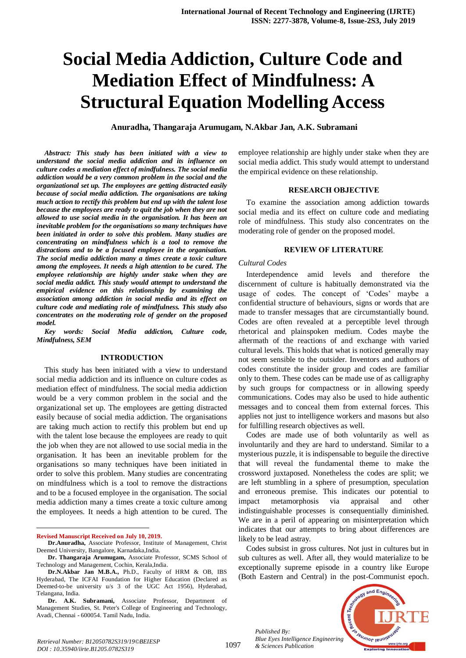# **Social Media Addiction, Culture Code and Mediation Effect of Mindfulness: A Structural Equation Modelling Access**

**Anuradha, Thangaraja Arumugam, N.Akbar Jan, A.K. Subramani**

*Abstract: This study has been initiated with a view to understand the social media addiction and its influence on culture codes a mediation effect of mindfulness. The social media addiction would be a very common problem in the social and the organizational set up. The employees are getting distracted easily because of social media addiction. The organisations are taking much action to rectify this problem but end up with the talent lose because the employees are ready to quit the job when they are not allowed to use social media in the organisation. It has been an inevitable problem for the organisations so many techniques have been initiated in order to solve this problem. Many studies are concentrating on mindfulness which is a tool to remove the distractions and to be a focused employee in the organisation. The social media addiction many a times create a toxic culture among the employees. It needs a high attention to be cured. The employee relationship are highly under stake when they are social media addict. This study would attempt to understand the empirical evidence on this relationship by examining the association among addiction in social media and its effect on culture code and mediating role of mindfulness. This study also concentrates on the moderating role of gender on the proposed model.*

*Key words: Social Media addiction, Culture code, Mindfulness, SEM*

#### **INTRODUCTION**

This study has been initiated with a view to understand social media addiction and its influence on culture codes as mediation effect of mindfulness. The social media addiction would be a very common problem in the social and the organizational set up. The employees are getting distracted easily because of social media addiction. The organisations are taking much action to rectify this problem but end up with the talent lose because the employees are ready to quit the job when they are not allowed to use social media in the organisation. It has been an inevitable problem for the organisations so many techniques have been initiated in order to solve this problem. Many studies are concentrating on mindfulness which is a tool to remove the distractions and to be a focused employee in the organisation. The social media addiction many a times create a toxic culture among the employees. It needs a high attention to be cured. The

**Revised Manuscript Received on July 10, 2019.**

 $\overline{a}$ 

employee relationship are highly under stake when they are social media addict. This study would attempt to understand the empirical evidence on these relationship.

#### **RESEARCH OBJECTIVE**

To examine the association among addiction towards social media and its effect on culture code and mediating role of mindfulness. This study also concentrates on the moderating role of gender on the proposed model.

#### **REVIEW OF LITERATURE**

#### *Cultural Codes*

Interdependence amid levels and therefore the discernment of culture is habitually demonstrated via the usage of codes. The concept of 'Codes' maybe a confidential structure of behaviours, signs or words that are made to transfer messages that are circumstantially bound. Codes are often revealed at a perceptible level through rhetorical and plainspoken medium. Codes maybe the aftermath of the reactions of and exchange with varied cultural levels. This holds that what is noticed generally may not seem sensible to the outsider. Inventors and authors of codes constitute the insider group and codes are familiar only to them. These codes can be made use of as calligraphy by such groups for compactness or in allowing speedy communications. Codes may also be used to hide authentic messages and to conceal them from external forces. This applies not just to intelligence workers and masons but also for fulfilling research objectives as well.

Codes are made use of both voluntarily as well as involuntarily and they are hard to understand. Similar to a mysterious puzzle, it is indispensable to beguile the directive that will reveal the fundamental theme to make the crossword juxtaposed. Nonetheless the codes are split; we are left stumbling in a sphere of presumption, speculation and erroneous premise. This indicates our potential to impact metamorphosis via appraisal and other indistinguishable processes is consequentially diminished. We are in a peril of appearing on misinterpretation which indicates that our attempts to bring about differences are likely to be lead astray.

Codes subsist in gross cultures. Not just in cultures but in sub cultures as well. After all, they would materialize to be exceptionally supreme episode in a country like Europe (Both Eastern and Central) in the post-Communist epoch.

*Published By: Blue Eyes Intelligence Engineering & Sciences Publication* 



*Retrieval Number: B12050782S319/19©BEIESP DOI : 10.35940/ijrte.B1205.0782S319*

**Dr.Anuradha,** Associate Professor, Institute of Management, Christ Deemed University, Bangalore, Karnadaka,India.

**Dr. Thangaraja Arumugam,** Associate Professor, SCMS School of Technology and Management, Cochin, Kerala,India.

**Dr.N.Akbar Jan M.B.A.,** Ph.D., Faculty of HRM & OB, IBS Hyderabad, The ICFAI Foundation for Higher Education (Declared as Deemed-to-be university u/s 3 of the UGC Act 1956), Hyderabad, Telangana, India.

**Dr. A.K. Subramani,** Associate Professor, Department of Management Studies, St. Peter's College of Engineering and Technology, Avadi, Chennai - 600054. Tamil Nadu, India.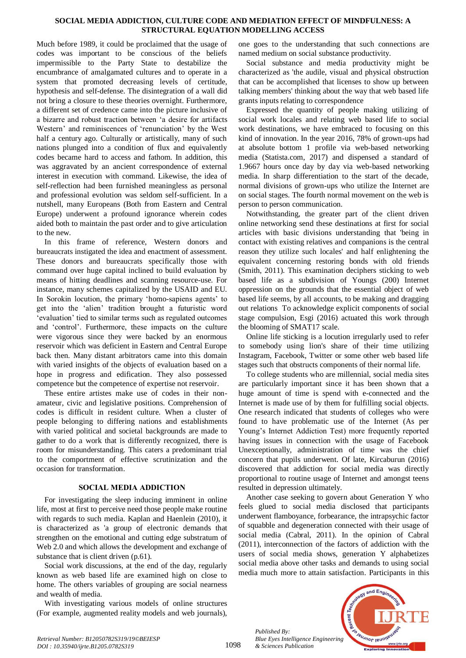#### **SOCIAL MEDIA ADDICTION, CULTURE CODE AND MEDIATION EFFECT OF MINDFULNESS: A STRUCTURAL EQUATION MODELLING ACCESS**

Much before 1989, it could be proclaimed that the usage of codes was important to be conscious of the beliefs impermissible to the Party State to destabilize the encumbrance of amalgamated cultures and to operate in a system that promoted decreasing levels of certitude, hypothesis and self-defense. The disintegration of a wall did not bring a closure to these theories overnight. Furthermore, a different set of credence came into the picture inclusive of a bizarre and robust traction between 'a desire for artifacts Western' and reminiscences of 'renunciation' by the West half a century ago. Culturally or artistically, many of such nations plunged into a condition of flux and equivalently codes became hard to access and fathom. In addition, this was aggravated by an ancient correspondence of external interest in execution with command. Likewise, the idea of self-reflection had been furnished meaningless as personal and professional evolution was seldom self-sufficient. In a nutshell, many Europeans (Both from Eastern and Central Europe) underwent a profound ignorance wherein codes aided both to maintain the past order and to give articulation to the new.

In this frame of reference, Western donors and bureaucrats instigated the idea and enactment of assessment. These donors and bureaucrats specifically those with command over huge capital inclined to build evaluation by means of hitting deadlines and scanning resource-use. For instance, many schemes capitalized by the USAID and EU. In Sorokin locution, the primary 'homo-sapiens agents' to get into the 'alien' tradition brought a futuristic word 'evaluation' tied to similar terms such as regulated outcomes and 'control'. Furthermore, these impacts on the culture were vigorous since they were backed by an enormous reservoir which was deficient in Eastern and Central Europe back then. Many distant arbitrators came into this domain with varied insights of the objects of evaluation based on a hope in progress and edification. They also possessed competence but the competence of expertise not reservoir.

These entire artistes make use of codes in their nonamateur, civic and legislative positions. Comprehension of codes is difficult in resident culture. When a cluster of people belonging to differing nations and establishments with varied political and societal backgrounds are made to gather to do a work that is differently recognized, there is room for misunderstanding. This caters a predominant trial to the comportment of effective scrutinization and the occasion for transformation.

## **SOCIAL MEDIA ADDICTION**

For investigating the sleep inducing imminent in online life, most at first to perceive need those people make routine with regards to such media. Kaplan and Haenlein (2010), it is characterized as 'a group of electronic demands that strengthen on the emotional and cutting edge substratum of Web 2.0 and which allows the development and exchange of substance that is client driven (p.61).

Social work discussions, at the end of the day, regularly known as web based life are examined high on close to home. The others variables of grouping are social nearness and wealth of media.

With investigating various models of online structures (For example, augmented reality models and web journals),

one goes to the understanding that such connections are named medium on social substance productivity.

Social substance and media productivity might be characterized as 'the audile, visual and physical obstruction that can be accomplished that licenses to show up between talking members' thinking about the way that web based life grants inputs relating to correspondence

Expressed the quantity of people making utilizing of social work locales and relating web based life to social work destinations, we have embraced to focusing on this kind of innovation. In the year 2016, 78% of grown-ups had at absolute bottom 1 profile via web-based networking media (Statista.com, 2017) and dispensed a standard of 1.9667 hours once day by day via web-based networking media. In sharp differentiation to the start of the decade, normal divisions of grown-ups who utilize the Internet are on social stages. The fourth normal movement on the web is person to person communication.

Notwithstanding, the greater part of the client driven online networking send these destinations at first for social articles with basic divisions understanding that 'being in contact with existing relatives and companions is the central reason they utilize such locales' and half enlightening the equivalent concerning restoring bonds with old friends (Smith, 2011). This examination deciphers sticking to web based life as a subdivision of Youngs (200) Internet oppression on the grounds that the essential object of web based life seems, by all accounts, to be making and dragging out relations To acknowledge explicit components of social stage compulsion, Esgi (2016) actuated this work through the blooming of SMAT17 scale.

Online life sticking is a locution irregularly used to refer to somebody using lion's share of their time utilizing Instagram, Facebook, Twitter or some other web based life stages such that obstructs components of their normal life.

To college students who are millennial, social media sites are particularly important since it has been shown that a huge amount of time is spend with e-connected and the Internet is made use of by them for fulfilling social objects. One research indicated that students of colleges who were found to have problematic use of the Internet (As per Young's Internet Addiction Test) more frequently reported having issues in connection with the usage of Facebook Unexceptionally, administration of time was the chief concern that pupils underwent. Of late, Kircaburun (2016) discovered that addiction for social media was directly proportional to routine usage of Internet and amongst teens resulted in depression ultimately.

Another case seeking to govern about Generation Y who feels glued to social media disclosed that participants underwent flamboyance, forbearance, the intrapsychic factor of squabble and degeneration connected with their usage of social media (Cabral, 2011). In the opinion of Cabral (2011), interconnection of the factors of addiction with the users of social media shows, generation Y alphabetizes social media above other tasks and demands to using social media much more to attain satisfaction. Participants in this

*Published By: Blue Eyes Intelligence Engineering & Sciences Publication* 

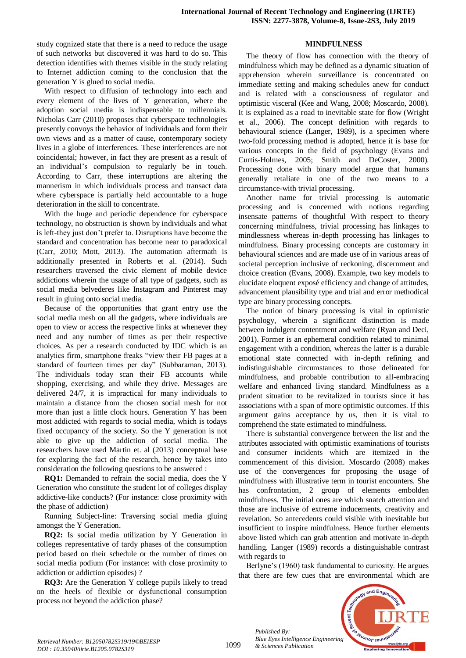study cognized state that there is a need to reduce the usage of such networks but discovered it was hard to do so. This detection identifies with themes visible in the study relating to Internet addiction coming to the conclusion that the generation Y is glued to social media.

With respect to diffusion of technology into each and every element of the lives of Y generation, where the adoption social media is indispensable to millennials. Nicholas Carr (2010) proposes that cyberspace technologies presently convoys the behavior of individuals and form their own views and as a matter of cause, contemporary society lives in a globe of interferences. These interferences are not coincidental; however, in fact they are present as a result of an individual's compulsion to regularly be in touch. According to Carr, these interruptions are altering the mannerism in which individuals process and transact data where cyberspace is partially held accountable to a huge deterioration in the skill to concentrate.

With the huge and periodic dependence for cyberspace technology, no obstruction is shown by individuals and what is left-they just don't prefer to. Disruptions have become the standard and concentration has become near to paradoxical (Carr, 2010; Mott, 2013). The automation aftermath is additionally presented in Roberts et al. (2014). Such researchers traversed the civic element of mobile device addictions wherein the usage of all type of gadgets, such as social media belvederes like Instagram and Pinterest may result in gluing onto social media.

Because of the opportunities that grant entry use the social media mesh on all the gadgets, where individuals are open to view or access the respective links at whenever they need and any number of times as per their respective choices. As per a research conducted by IDC which is an analytics firm, smartphone freaks "view their FB pages at a standard of fourteen times per day" (Subbaraman, 2013). The individuals today scan their FB accounts while shopping, exercising, and while they drive. Messages are delivered 24/7, it is impractical for many individuals to maintain a distance from the chosen social mesh for not more than just a little clock hours. Generation Y has been most addicted with regards to social media, which is todays fixed occupancy of the society. So the Y generation is not able to give up the addiction of social media. The researchers have used Martin et. al (2013) conceptual base for exploring the fact of the research, hence by takes into consideration the following questions to be answered :

**RQ1:** Demanded to refrain the social media, does the Y Generation who constitute the student lot of colleges display addictive-like conducts? (For instance: close proximity with the phase of addiction)

Running Subject-line: Traversing social media gluing amongst the Y Generation.

**RQ2:** Is social media utilization by Y Generation in colleges representative of tardy phases of the consumption period based on their schedule or the number of times on social media podium (For instance: with close proximity to addiction or addiction episodes) ?

**RQ3:** Are the Generation Y college pupils likely to tread on the heels of flexible or dysfunctional consumption process not beyond the addiction phase?

#### **MINDFULNESS**

The theory of flow has connection with the theory of mindfulness which may be defined as a dynamic situation of apprehension wherein surveillance is concentrated on immediate setting and making schedules anew for conduct and is related with a consciousness of regulator and optimistic visceral (Kee and Wang, 2008; Moscardo, 2008). It is explained as a road to inevitable state for flow (Wright et al., 2006). The concept definition with regards to behavioural science (Langer, 1989), is a specimen where two-fold processing method is adopted, hence it is base for various concepts in the field of psychology (Evans and Curtis-Holmes, 2005; Smith and DeCoster, 2000). Processing done with binary model argue that humans generally retaliate in one of the two means to a circumstance-with trivial processing.

Another name for trivial processing is automatic processing and is concerned with notions regarding insensate patterns of thoughtful With respect to theory concerning mindfulness, trivial processing has linkages to mindlessness whereas in-depth processing has linkages to mindfulness. Binary processing concepts are customary in behavioural sciences and are made use of in various areas of societal perception inclusive of reckoning, discernment and choice creation (Evans, 2008). Example, two key models to elucidate eloquent exposé efficiency and change of attitudes, advancement plausibility type and trial and error methodical type are binary processing concepts.

The notion of binary processing is vital in optimistic psychology, wherein a significant distinction is made between indulgent contentment and welfare (Ryan and Deci, 2001). Former is an ephemeral condition related to minimal engagement with a condition, whereas the latter is a durable emotional state connected with in-depth refining and indistinguishable circumstances to those delineated for mindfulness, and probable contribution to all-embracing welfare and enhanced living standard. Mindfulness as a prudent situation to be revitalized in tourists since it has associations with a span of more optimistic outcomes. If this argument gains acceptance by us, then it is vital to comprehend the state estimated to mindfulness.

There is substantial convergence between the list and the attributes associated with optimistic examinations of tourists and consumer incidents which are itemized in the commencement of this division. Moscardo (2008) makes use of the convergences for proposing the usage of mindfulness with illustrative term in tourist encounters. She has confrontation, 2 group of elements embolden mindfulness. The initial ones are which snatch attention and those are inclusive of extreme inducements, creativity and revelation. So antecedents could visible with inevitable but insufficient to inspire mindfulness. Hence further elements above listed which can grab attention and motivate in-depth handling. Langer (1989) records a distinguishable contrast with regards to

Berlyne's (1960) task fundamental to curiosity. He argues that there are few cues that are environmental which are



*Retrieval Number: B12050782S319/19©BEIESP DOI : 10.35940/ijrte.B1205.0782S319*

1099

*Published By:*

*& Sciences Publication*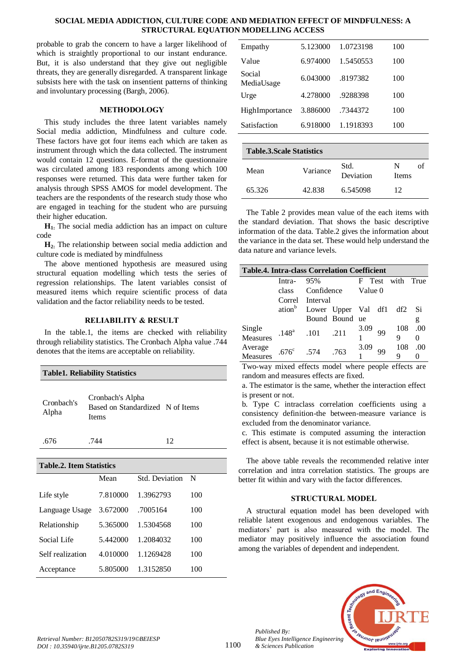## **SOCIAL MEDIA ADDICTION, CULTURE CODE AND MEDIATION EFFECT OF MINDFULNESS: A STRUCTURAL EQUATION MODELLING ACCESS**

probable to grab the concern to have a larger likelihood of which is straightly proportional to our instant endurance. But, it is also understand that they give out negligible threats, they are generally disregarded. A transparent linkage subsists here with the task on insentient patterns of thinking and involuntary processing (Bargh, 2006).

## **METHODOLOGY**

This study includes the three latent variables namely Social media addiction, Mindfulness and culture code. These factors have got four items each which are taken as instrument through which the data collected. The instrument would contain 12 questions. E-format of the questionnaire was circulated among 183 respondents among which 100 responses were returned. This data were further taken for analysis through SPSS AMOS for model development. The teachers are the respondents of the research study those who are engaged in teaching for the student who are pursuing their higher education.

**H1:** The social media addiction has an impact on culture code

**H2:** The relationship between social media addiction and culture code is mediated by mindfulness

The above mentioned hypothesis are measured using structural equation modelling which tests the series of regression relationships. The latent variables consist of measured items which require scientific process of data validation and the factor reliability needs to be tested.

## **RELIABILITY & RESULT**

In the table.1, the items are checked with reliability through reliability statistics. The Cronbach Alpha value .744 denotes that the items are acceptable on reliability.

| <b>Table1. Reliability Statistics</b> |                                                               |    |  |  |  |  |  |
|---------------------------------------|---------------------------------------------------------------|----|--|--|--|--|--|
| Cronbach's<br>Alpha                   | Cronbach's Alpha<br>Based on Standardized N of Items<br>Items |    |  |  |  |  |  |
| 676                                   | 744                                                           | 12 |  |  |  |  |  |

| <b>Table.2. Item Statistics</b> |                       |     |  |  |  |  |  |
|---------------------------------|-----------------------|-----|--|--|--|--|--|
| Mean                            | <b>Std. Deviation</b> | N   |  |  |  |  |  |
| 7.810000                        | 1.3962793             | 100 |  |  |  |  |  |
| 3.672000                        | .7005164              | 100 |  |  |  |  |  |
| 5.365000                        | 1.5304568             | 100 |  |  |  |  |  |
| 5.442000                        | 1.2084032             | 100 |  |  |  |  |  |
| 4.010000                        | 1.1269428             | 100 |  |  |  |  |  |
| 5.805000                        | 1.3152850             | 100 |  |  |  |  |  |
|                                 |                       |     |  |  |  |  |  |

| <b>Table.3. Scale Statistics</b> |          |                   |                   |  |  |  |  |  |
|----------------------------------|----------|-------------------|-------------------|--|--|--|--|--|
| Mean                             | Variance | Std.<br>Deviation | N<br><b>Items</b> |  |  |  |  |  |
| 65.326                           | 42.838   | 6.545098          | 12                |  |  |  |  |  |

The Table 2 provides mean value of the each items with the standard deviation. That shows the basic descriptive information of the data. Table.2 gives the information about the variance in the data set. These would help understand the data nature and variance levels.

| <b>Table.4. Intra-class Correlation Coefficient</b> |              |                                               |                          |                  |    |                  |          |  |  |
|-----------------------------------------------------|--------------|-----------------------------------------------|--------------------------|------------------|----|------------------|----------|--|--|
|                                                     | Intra- $95%$ |                                               |                          |                  |    | F Test with True |          |  |  |
|                                                     |              |                                               | class Confidence Value 0 |                  |    |                  |          |  |  |
|                                                     |              | Correl Interval                               |                          |                  |    |                  |          |  |  |
|                                                     |              | ation <sup>b</sup> Lower Upper Val df1 df2 Si |                          |                  |    |                  |          |  |  |
|                                                     |              |                                               | Bound Bound ue           |                  |    |                  | g        |  |  |
| Single                                              |              |                                               |                          | $\frac{3.09}{1}$ | 99 |                  | 108 .00  |  |  |
| Measures                                            |              | $.148^a$ $.101$ $.211$                        |                          |                  |    | Q                | $\Omega$ |  |  |
|                                                     |              |                                               |                          | $\frac{3.09}{1}$ | 99 | 108              | .00      |  |  |
| Average<br>Measures                                 |              | $.676^{\circ}$ .574 .763                      |                          |                  |    | Q                |          |  |  |

Two-way mixed effects model where people effects are random and measures effects are fixed.

a. The estimator is the same, whether the interaction effect is present or not.

b. Type C intraclass correlation coefficients using a consistency definition-the between-measure variance is excluded from the denominator variance.

c. This estimate is computed assuming the interaction effect is absent, because it is not estimable otherwise.

The above table reveals the recommended relative inter correlation and intra correlation statistics. The groups are better fit within and vary with the factor differences.

# **STRUCTURAL MODEL**

A structural equation model has been developed with reliable latent exogenous and endogenous variables. The mediators' part is also measured with the model. The mediator may positively influence the association found among the variables of dependent and independent.



*Published By:*

*& Sciences Publication*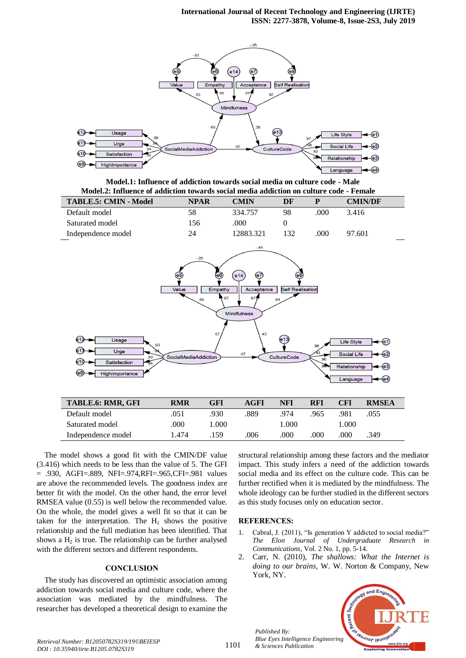

**Model.1: Influence of addiction towards social media on culture code - Male Model.2: Influence of addiction towards social media addiction on culture code - Female**

| <b>TABLE.5: CMIN - Model</b> | <b>NPAR</b> | <b>CMIN</b> | DF |      | <b>CMIN/DF</b> |
|------------------------------|-------------|-------------|----|------|----------------|
| Default model                | 58          | 334.757     | 98 | .000 | 3.416          |
| Saturated model              | 156         | .000        |    |      |                |
| Independence model           | 24          | 12883.321   |    | .000 | 97.601         |
|                              |             |             |    |      |                |



| <b>TABLE.6: RMR, GFI</b> | <b>RMR</b> | GFI  | AGFI | NFI   | RFI  | <b>CFI</b> | <b>RMSEA</b> |
|--------------------------|------------|------|------|-------|------|------------|--------------|
| Default model            | .051       | .930 | .889 | 974   | 965  | 981        | 055          |
| Saturated model          | .000       | .000 |      | .000. |      | 000.1      |              |
| Independence model       | 1.474      | 159  | .006 | .000  | .000 | .000       | .349         |

The model shows a good fit with the CMIN/DF value (3.416) which needs to be less than the value of 5. The GFI = .930, AGFI=.889, NFI=.974,RFI=.965,CFI=.981 values are above the recommended levels. The goodness index are better fit with the model. On the other hand, the error level RMSEA value (0.55) is well below the recommended value. On the whole, the model gives a well fit so that it can be taken for the interpretation. The  $H_1$  shows the positive relationship and the full mediation has been identified. That shows a  $H_2$  is true. The relationship can be further analysed with the different sectors and different respondents.

## **CONCLUSION**

The study has discovered an optimistic association among addiction towards social media and culture code, where the association was mediated by the mindfulness. The researcher has developed a theoretical design to examine the

structural relationship among these factors and the mediator impact. This study infers a need of the addiction towards social media and its effect on the culture code. This can be further rectified when it is mediated by the mindfulness. The whole ideology can be further studied in the different sectors as this study focuses only on education sector.

## **REFERENCES:**

*Published By:*

*& Sciences Publication* 

- 1. Cabral, J. (2011), "Is generation Y addicted to social media?" *The Elon Journal of Undergraduate Research in Communications,* Vol. 2 No. 1, pp. 5-14.
- 2. Carr, N. (2010), *The shallows: What the Internet is doing to our brains*, W. W. Norton & Company, New York, NY.



*Retrieval Number: B12050782S319/19©BEIESP DOI : 10.35940/ijrte.B1205.0782S319*